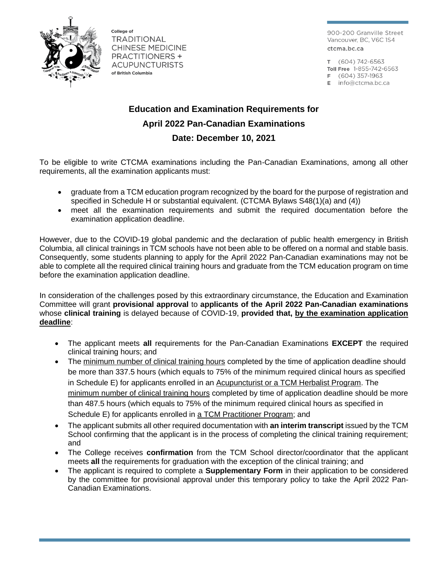

College of TRADITIONAL **CHINESE MEDICINE PRACTITIONERS + ACUPUNCTURISTS** of British Columbia

900-200 Granville Street Vancouver, BC, V6C 1S4 ctcma.bc.ca

T (604) 742-6563 Toll Free 1-855-742-6563  $F(604) 357-1963$  $E$  info@ctcma.bc.ca

**Education and Examination Requirements for April 2022 Pan-Canadian Examinations Date: December 10, 2021**

To be eligible to write CTCMA examinations including the Pan-Canadian Examinations, among all other requirements, all the examination applicants must:

- graduate from a TCM education program recognized by the board for the purpose of registration and specified in Schedule H or substantial equivalent. (CTCMA Bylaws S48(1)(a) and (4))
- meet all the examination requirements and submit the required documentation before the examination application deadline.

However, due to the COVID-19 global pandemic and the declaration of public health emergency in British Columbia, all clinical trainings in TCM schools have not been able to be offered on a normal and stable basis. Consequently, some students planning to apply for the April 2022 Pan-Canadian examinations may not be able to complete all the required clinical training hours and graduate from the TCM education program on time before the examination application deadline.

In consideration of the challenges posed by this extraordinary circumstance, the Education and Examination Committee will grant **provisional approval** to **applicants of the April 2022 Pan-Canadian examinations** whose **clinical training** is delayed because of COVID-19, **provided that, by the examination application deadline**:

- The applicant meets **all** requirements for the Pan-Canadian Examinations **EXCEPT** the required clinical training hours; and
- The minimum number of clinical training hours completed by the time of application deadline should be more than 337.5 hours (which equals to 75% of the minimum required clinical hours as specified in Schedule E) for applicants enrolled in an Acupuncturist or a TCM Herbalist Program. The minimum number of clinical training hours completed by time of application deadline should be more than 487.5 hours (which equals to 75% of the minimum required clinical hours as specified in Schedule E) for applicants enrolled in a TCM Practitioner Program; and
- The applicant submits all other required documentation with **an interim transcript** issued by the TCM School confirming that the applicant is in the process of completing the clinical training requirement; and
- The College receives **confirmation** from the TCM School director/coordinator that the applicant meets **all** the requirements for graduation with the exception of the clinical training; and
- The applicant is required to complete a **Supplementary Form** in their application to be considered by the committee for provisional approval under this temporary policy to take the April 2022 Pan-Canadian Examinations.